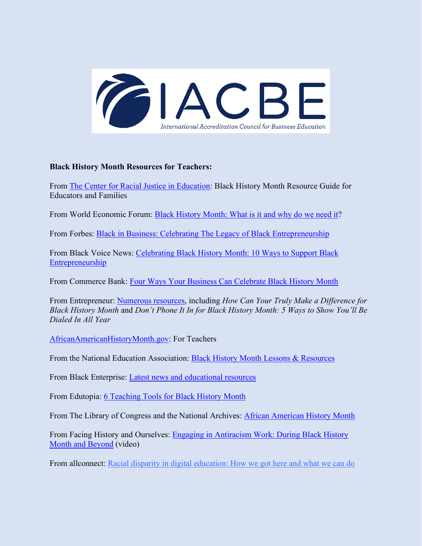

## **Black History Month Resources for Teachers:**

From [The Center for Racial Justice in Education:](https://centerracialjustice.org/resources/black-history-month-resource-guide-for-educators-and-families/) Black History Month Resource Guide for Educators and Families

From World Economic Forum: [Black History Month: What is it and why do we need it?](https://www.weforum.org/agenda/2022/01/black-history-month-what-is-it-and-why-do-we-need-it/)

From Forbes: [Black in Business: Celebrating The Legacy of Black Entrepreneurship](https://www.forbes.com/sites/ruthumoh/2020/02/03/celebrating-black-history-month-2020/?sh=7f7241d2b450)

From Black Voice News: [Celebrating Black History Month: 10 Ways to Support Black](https://blackvoicenews.com/2020/02/19/celebrating-black-history-month-10-ways-to-support-black-entrepreneurship/)  **[Entrepreneurship](https://blackvoicenews.com/2020/02/19/celebrating-black-history-month-10-ways-to-support-black-entrepreneurship/)** 

From Commerce Bank: [Four Ways Your Business Can Celebrate Black History Month](https://www.commercebank.com/business/trends-and-insights/2021/four-ways-your-business-can-celebrate-black-history-month)

From Entrepreneur: [Numerous resources,](https://www.entrepreneur.com/topic/black-history-month) including *How Can Your Truly Make a Difference for Black History Month* and *Don't Phone It In for Black History Month: 5 Ways to Show You'll Be Dialed In All Year*

[AfricanAmericanHistoryMonth.gov:](https://africanamericanhistorymonth.gov/for-teachers/) For Teachers

From the National Education Association: [Black History Month Lessons & Resources](https://www.nea.org/professional-excellence/student-engagement/tools-tips/black-history-month-lessons-resources)

From Black Enterprise: [Latest news and educational resources](https://www.blackenterprise.com/education/)

From Edutopia: [6 Teaching Tools for Black History Month](https://www.edutopia.org/blog/black-history-month-teaching-resources-matthew-davis)

From The Library of Congress and the National Archives: [African American History Month](https://africanamericanhistorymonth.gov/)

From Facing History and Ourselves: [Engaging in Antiracism Work: During Black History](https://www.facinghistory.org/professional-development/ondemand/engaging-antiracism-work-during-black-history-month-and-beyond)  [Month and Beyond](https://www.facinghistory.org/professional-development/ondemand/engaging-antiracism-work-during-black-history-month-and-beyond) (video)

From allconnect: [Racial disparity in digital education: How we got here and what we can do](https://www.allconnect.com/blog/racial-disparities-in-education)